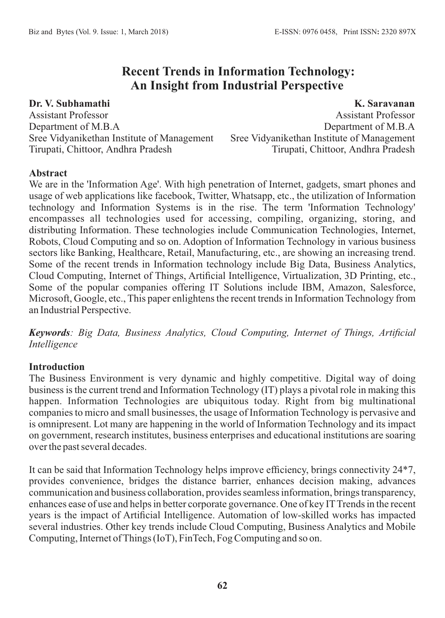# **Recent Trends in Information Technology: An Insight from Industrial Perspective**

**Dr. V. Subhamathi** Assistant Professor Department of M.B.A Sree Vidyanikethan Institute of Management Tirupati, Chittoor, Andhra Pradesh

**K. Saravanan** Assistant Professor Department of M.B.A Sree Vidyanikethan Institute of Management Tirupati, Chittoor, Andhra Pradesh

# **Abstract**

We are in the 'Information Age'. With high penetration of Internet, gadgets, smart phones and usage of web applications like facebook, Twitter, Whatsapp, etc., the utilization of Information technology and Information Systems is in the rise. The term 'Information Technology' encompasses all technologies used for accessing, compiling, organizing, storing, and distributing Information. These technologies include Communication Technologies, Internet, Robots, Cloud Computing and so on. Adoption of Information Technology in various business sectors like Banking, Healthcare, Retail, Manufacturing, etc., are showing an increasing trend. Some of the recent trends in Information technology include Big Data, Business Analytics, Cloud Computing, Internet of Things, Artificial Intelligence, Virtualization, 3D Printing, etc., Some of the popular companies offering IT Solutions include IBM, Amazon, Salesforce, Microsoft, Google, etc., This paper enlightens the recent trends in Information Technology from an Industrial Perspective.

*Keywords: Big Data, Business Analytics, Cloud Computing, Internet of Things, Artificial Intelligence*

# **Introduction**

The Business Environment is very dynamic and highly competitive. Digital way of doing business is the current trend and Information Technology (IT) plays a pivotal role in making this happen. Information Technologies are ubiquitous today. Right from big multinational companies to micro and small businesses, the usage of Information Technology is pervasive and is omnipresent. Lot many are happening in the world of Information Technology and its impact on government, research institutes, business enterprises and educational institutions are soaring over the past several decades.

It can be said that Information Technology helps improve efficiency, brings connectivity 24\*7, provides convenience, bridges the distance barrier, enhances decision making, advances communication and business collaboration, provides seamless information, brings transparency, enhances ease of use and helps in better corporate governance. One of key IT Trends in the recent years is the impact of Artificial Intelligence. Automation of low-skilled works has impacted several industries. Other key trends include Cloud Computing, Business Analytics and Mobile Computing, Internet of Things (IoT), FinTech, Fog Computing and so on.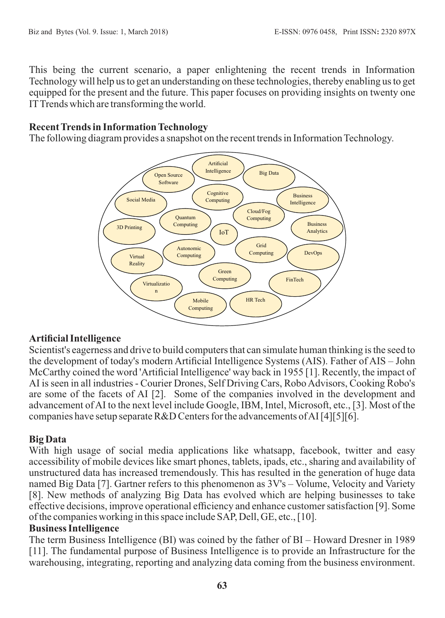This being the current scenario, a paper enlightening the recent trends in Information Technology will help us to get an understanding on these technologies, thereby enabling us to get equipped for the present and the future. This paper focuses on providing insights on twenty one ITTrends which are transforming the world.

# **Recent Trends in Information Technology**

The following diagram provides a snapshot on the recent trends in Information Technology.



# **Artificial Intelligence**

Scientist's eagerness and drive to build computers that can simulate human thinking is the seed to the development of today's modern Artificial Intelligence Systems (AIS). Father of AIS – John McCarthy coined the word 'Artificial Intelligence' way back in 1955 [1]. Recently, the impact of AI is seen in all industries - Courier Drones, Self Driving Cars, Robo Advisors, Cooking Robo's are some of the facets of AI [2]. Some of the companies involved in the development and advancement of AI to the next level include Google, IBM, Intel, Microsoft, etc., [3]. Most of the companies have setup separate R&D Centers for the advancements of AI [4][5][6].

# **Big Data**

With high usage of social media applications like whatsapp, facebook, twitter and easy accessibility of mobile devices like smart phones, tablets, ipads, etc., sharing and availability of unstructured data has increased tremendously. This has resulted in the generation of huge data named Big Data [7]. Gartner refers to this phenomenon as 3V's – Volume, Velocity and Variety [8]. New methods of analyzing Big Data has evolved which are helping businesses to take effective decisions, improve operational efficiency and enhance customer satisfaction [9]. Some of the companies working in this space include SAP, Dell, GE, etc., [10].

# **Business Intelligence**

The term Business Intelligence (BI) was coined by the father of BI – Howard Dresner in 1989 [11]. The fundamental purpose of Business Intelligence is to provide an Infrastructure for the warehousing, integrating, reporting and analyzing data coming from the business environment.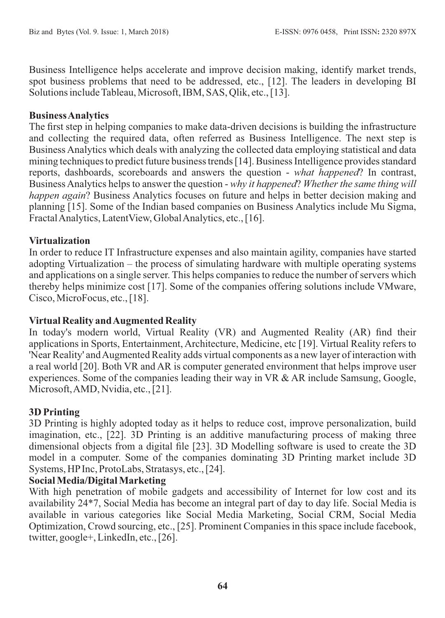Business Intelligence helps accelerate and improve decision making, identify market trends, spot business problems that need to be addressed, etc., [12]. The leaders in developing BI Solutions include Tableau, Microsoft, IBM, SAS, Qlik, etc., [13].

### **Business Analytics**

The first step in helping companies to make data-driven decisions is building the infrastructure and collecting the required data, often referred as Business Intelligence. The next step is Business Analytics which deals with analyzing the collected data employing statistical and data mining techniques to predict future business trends [14]. Business Intelligence provides standard reports, dashboards, scoreboards and answers the question - *what happened*? In contrast, Business Analytics helps to answer the question - *why it happened*? *Whether the same thing will happen again*? Business Analytics focuses on future and helps in better decision making and planning [15]. Some of the Indian based companies on Business Analytics include Mu Sigma, Fractal Analytics, LatentView, Global Analytics, etc., [16].

# **Virtualization**

In order to reduce IT Infrastructure expenses and also maintain agility, companies have started adopting Virtualization – the process of simulating hardware with multiple operating systems and applications on a single server. This helps companies to reduce the number of servers which thereby helps minimize cost [17]. Some of the companies offering solutions include VMware, Cisco, MicroFocus, etc., [18].

# **Virtual Reality and Augmented Reality**

In today's modern world, Virtual Reality (VR) and Augmented Reality (AR) find their applications in Sports, Entertainment, Architecture, Medicine, etc [19]. Virtual Reality refers to 'Near Reality' and Augmented Reality adds virtual components as a new layer of interaction with a real world [20]. Both VR and AR is computer generated environment that helps improve user experiences. Some of the companies leading their way in VR & AR include Samsung, Google, Microsoft, AMD, Nvidia, etc., [21].

# **3D Printing**

3D Printing is highly adopted today as it helps to reduce cost, improve personalization, build imagination, etc., [22]. 3D Printing is an additive manufacturing process of making three dimensional objects from a digital file [23]. 3D Modelling software is used to create the 3D model in a computer. Some of the companies dominating 3D Printing market include 3D Systems, HPInc, ProtoLabs, Stratasys, etc., [24].

# **Social Media/Digital Marketing**

With high penetration of mobile gadgets and accessibility of Internet for low cost and its availability 24\*7, Social Media has become an integral part of day to day life. Social Media is available in various categories like Social Media Marketing, Social CRM, Social Media Optimization, Crowd sourcing, etc., [25]. Prominent Companies in this space include facebook, twitter, google+, LinkedIn, etc., [26].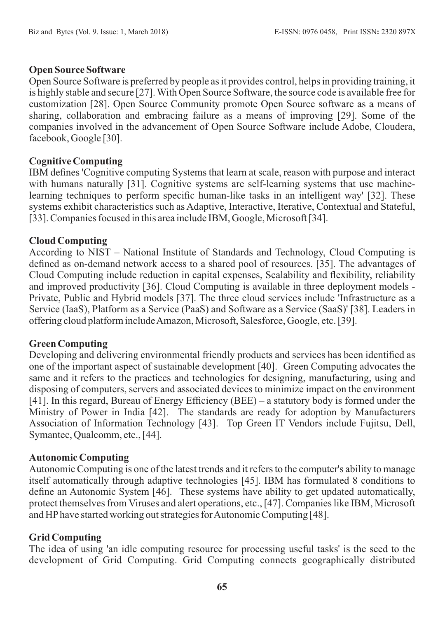#### **Open Source Software**

Open Source Software is preferred by people as it provides control, helps in providing training, it is highly stable and secure [27]. With Open Source Software, the source code is available free for customization [28]. Open Source Community promote Open Source software as a means of sharing, collaboration and embracing failure as a means of improving [29]. Some of the companies involved in the advancement of Open Source Software include Adobe, Cloudera, facebook, Google [30].

# **Cognitive Computing**

IBM defines 'Cognitive computing Systems that learn at scale, reason with purpose and interact with humans naturally [31]. Cognitive systems are self-learning systems that use machinelearning techniques to perform specific human-like tasks in an intelligent way' [32]. These systems exhibit characteristics such as Adaptive, Interactive, Iterative, Contextual and Stateful, [33]. Companies focused in this area include IBM, Google, Microsoft [34].

### **Cloud Computing**

According to NIST – National Institute of Standards and Technology, Cloud Computing is defined as on-demand network access to a shared pool of resources. [35]. The advantages of Cloud Computing include reduction in capital expenses, Scalability and flexibility, reliability and improved productivity [36]. Cloud Computing is available in three deployment models - Private, Public and Hybrid models [37]. The three cloud services include 'Infrastructure as a Service (IaaS), Platform as a Service (PaaS) and Software as a Service (SaaS)' [38]. Leaders in offering cloud platform include Amazon, Microsoft, Salesforce, Google, etc. [39].

#### **Green Computing**

Developing and delivering environmental friendly products and services has been identified as one of the important aspect of sustainable development [40]. Green Computing advocates the same and it refers to the practices and technologies for designing, manufacturing, using and disposing of computers, servers and associated devices to minimize impact on the environment [41]. In this regard, Bureau of Energy Efficiency (BEE) – a statutory body is formed under the Ministry of Power in India [42]. The standards are ready for adoption by Manufacturers Association of Information Technology [43]. Top Green IT Vendors include Fujitsu, Dell, Symantec, Qualcomm, etc., [44].

#### **Autonomic Computing**

Autonomic Computing is one of the latest trends and it refers to the computer's ability to manage itself automatically through adaptive technologies [45]. IBM has formulated 8 conditions to define an Autonomic System [46]. These systems have ability to get updated automatically, protect themselves from Viruses and alert operations, etc., [47]. Companies like IBM, Microsoft and HPhave started working out strategies for Autonomic Computing [48].

# **Grid Computing**

The idea of using 'an idle computing resource for processing useful tasks' is the seed to the development of Grid Computing. Grid Computing connects geographically distributed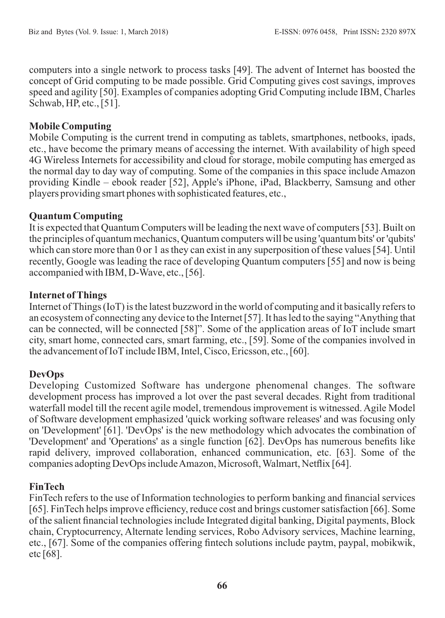computers into a single network to process tasks [49]. The advent of Internet has boosted the concept of Grid computing to be made possible. Grid Computing gives cost savings, improves speed and agility [50]. Examples of companies adopting Grid Computing include IBM, Charles Schwab, HP, etc., [51].

# **Mobile Computing**

Mobile Computing is the current trend in computing as tablets, smartphones, netbooks, ipads, etc., have become the primary means of accessing the internet. With availability of high speed 4G Wireless Internets for accessibility and cloud for storage, mobile computing has emerged as the normal day to day way of computing. Some of the companies in this space include Amazon providing Kindle – ebook reader [52], Apple's iPhone, iPad, Blackberry, Samsung and other players providing smart phones with sophisticated features, etc.,

# **Quantum Computing**

It is expected that Quantum Computers will be leading the next wave of computers [53]. Built on the principles of quantum mechanics, Quantum computers will be using 'quantum bits' or 'qubits' which can store more than 0 or 1 as they can exist in any superposition of these values [54]. Until recently, Google was leading the race of developing Quantum computers [55] and now is being accompanied with IBM, D-Wave, etc., [56].

# **Internet of Things**

Internet of Things (IoT) is the latest buzzword in the world of computing and it basically refers to an ecosystem of connecting any device to the Internet [57]. It has led to the saying "Anything that can be connected, will be connected [58]". Some of the application areas of IoT include smart city, smart home, connected cars, smart farming, etc., [59]. Some of the companies involved in the advancement of IoT include IBM, Intel, Cisco, Ericsson, etc., [60].

# **DevOps**

Developing Customized Software has undergone phenomenal changes. The software development process has improved a lot over the past several decades. Right from traditional waterfall model till the recent agile model, tremendous improvement is witnessed. Agile Model of Software development emphasized 'quick working software releases' and was focusing only on 'Development' [61]. 'DevOps' is the new methodology which advocates the combination of 'Development' and 'Operations' as a single function [62]. DevOps has numerous benefits like rapid delivery, improved collaboration, enhanced communication, etc. [63]. Some of the companies adopting DevOps include Amazon, Microsoft, Walmart, Netflix [64].

# **FinTech**

FinTech refers to the use of Information technologies to perform banking and financial services [65]. FinTech helps improve efficiency, reduce cost and brings customer satisfaction [66]. Some of the salient financial technologies include Integrated digital banking, Digital payments, Block chain, Cryptocurrency, Alternate lending services, Robo Advisory services, Machine learning, etc., [67]. Some of the companies offering fintech solutions include paytm, paypal, mobikwik, etc [68].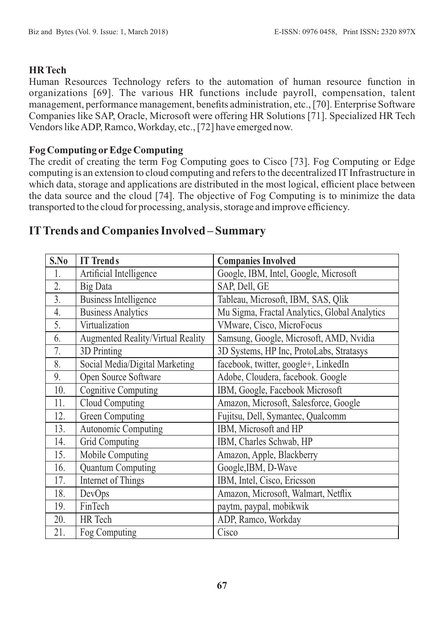# **HR Tech**

Human Resources Technology refers to the automation of human resource function in organizations [69]. The various HR functions include payroll, compensation, talent management, performance management, benefits administration, etc., [70]. Enterprise Software Companies like SAP, Oracle, Microsoft were offering HR Solutions [71]. Specialized HR Tech Vendors like ADP, Ramco, Workday, etc., [72] have emerged now.

### **Fog Computing orEdge Computing**

The credit of creating the term Fog Computing goes to Cisco [73]. Fog Computing or Edge computing is an extension to cloud computing and refers to the decentralized IT Infrastructure in which data, storage and applications are distributed in the most logical, efficient place between the data source and the cloud [74]. The objective of Fog Computing is to minimize the data transported to the cloud for processing, analysis, storage and improve efficiency.

# **ITTrends and Companies Involved – Summary**

| S.No | <b>IT Trends</b>                         | <b>Companies Involved</b>                     |
|------|------------------------------------------|-----------------------------------------------|
| 1.   | Artificial Intelligence                  | Google, IBM, Intel, Google, Microsoft         |
| 2.   | <b>Big Data</b>                          | SAP, Dell, GE                                 |
| 3.   | <b>Business Intelligence</b>             | Tableau, Microsoft, IBM, SAS, Qlik            |
| 4.   | <b>Business Analytics</b>                | Mu Sigma, Fractal Analytics, Global Analytics |
| 5.   | Virtualization                           | VMware, Cisco, MicroFocus                     |
| 6.   | <b>Augmented Reality/Virtual Reality</b> | Samsung, Google, Microsoft, AMD, Nvidia       |
| 7.   | 3D Printing                              | 3D Systems, HP Inc, ProtoLabs, Stratasys      |
| 8.   | Social Media/Digital Marketing           | facebook, twitter, google+, LinkedIn          |
| 9.   | Open Source Software                     | Adobe, Cloudera, facebook. Google             |
| 10.  | <b>Cognitive Computing</b>               | IBM, Google, Facebook Microsoft               |
| 11.  | Cloud Computing                          | Amazon, Microsoft, Salesforce, Google         |
| 12.  | Green Computing                          | Fujitsu, Dell, Symantec, Qualcomm             |
| 13.  | Autonomic Computing                      | IBM, Microsoft and HP                         |
| 14.  | <b>Grid Computing</b>                    | IBM, Charles Schwab, HP                       |
| 15.  | Mobile Computing                         | Amazon, Apple, Blackberry                     |
| 16.  | <b>Quantum Computing</b>                 | Google, IBM, D-Wave                           |
| 17.  | Internet of Things                       | IBM, Intel, Cisco, Ericsson                   |
| 18.  | DevOps                                   | Amazon, Microsoft, Walmart, Netflix           |
| 19.  | FinTech                                  | paytm, paypal, mobikwik                       |
| 20.  | HR Tech                                  | ADP, Ramco, Workday                           |
| 21.  | Fog Computing                            | Cisco                                         |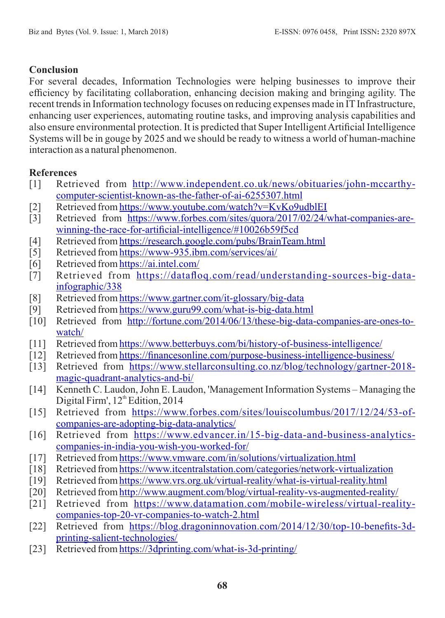# **Conclusion**

For several decades, Information Technologies were helping businesses to improve their efficiency by facilitating collaboration, enhancing decision making and bringing agility. The recent trends in Information technology focuses on reducing expenses made in IT Infrastructure, enhancing user experiences, automating routine tasks, and improving analysis capabilities and also ensure environmental protection. It is predicted that Super Intelligent Artificial Intelligence Systems will be in gouge by 2025 and we should be ready to witness a world of human-machine interaction as a natural phenomenon.

# **References**

- [1] Retrieved from [http://www.independent.co.uk/news/obituaries/john-mccarthy](mailto:ID-geetasonkusare@gmail.com)[computer-scientist-known-as-the-father-of-ai-6255307.html](mailto:ID-geetasonkusare@gmail.com)
- [2] Retrieved from [https://www.youtube.com/watch?v=KvKo9udblEI](mailto:ID-%20rajashree.yalgi@gmail.com)
- [3] Retrieved from [https://www.forbes.com/sites/quora/2017/02/24/what-companies-are](http://socioline.ru/files/5/283/kotler_keller_-_marketing_management_14th_edition.pdf)[winning-the-race-for-artificial-intelligence/#10026b59f5cd](http://socioline.ru/files/5/283/kotler_keller_-_marketing_management_14th_edition.pdf)
- [4] Retrieved from [https://research.google.com/pubs/BrainTeam.html](http://www.iiste.org)
- [5] Retrieved from [https://www-935.ibm.com/services/ai/](http://en.wikipedia.org/wiki/Ramalinga_Raju)
- [6] Retrieved from [https://ai.intel.com/](http://en.wikipedia.org/wiki/2G)
- [7] Retrieved from [https://datafloq.com/read/understanding-sources-big-data](http://corruptionbribery.com/2012/02/22/bribe-paying-countries-china-is-second-worst/)[infographic/338](http://corruptionbribery.com/2012/02/22/bribe-paying-countries-china-is-second-worst/)
- [8] Retrieved from [https://www.gartner.com/it-glossary/big-data](http://articles.latimes.com/2006/oct/05/business/fi-bribe5)
- [9] Retrieved from [https://www.guru99.com/what-is-big-data.html](http://soniajaspal.wordpress.com/2011/06/16/building-an-ethical-work-culture-in-indian-organizations/)
- [10] Retrieved from [http://fortune.com/2014/06/13/these-big-data-companies-are-ones-to](http://www.cebcglobal.org/uploaded_files/Ethical_Business_Practices_in_BRICs.pdf)[watch/](http://www.cebcglobal.org/uploaded_files/Ethical_Business_Practices_in_BRICs.pdf)
- [11] Retrieved from [https://www.betterbuys.com/bi/history-of-business-intelligence/](http://www.kpmg.com)
- [12] Retrieved from [https://financesonline.com/purpose-business-intelligence-business/](http://www.emeraldinsight.com/doi/full/10.1108/CG-01-2013-0004)
- [13] Retrieved from [https://www.stellarconsulting.co.nz/blog/technology/gartner-2018](http://www.forbes.com/sites/stevedenning/2011/07/23/how-do-you-change-an-organizational-culture) [magic-quadrant-analytics-and-bi/](http://www.forbes.com/sites/stevedenning/2011/07/23/how-do-you-change-an-organizational-culture)
- [14] Kenneth C. Laudon, John E. Laudon, 'Management Information Systems Managing the Digital Firm',  $12^{th}$  Edition, 2014
- [15] Retrieved from [https://www.forbes.com/sites/louiscolumbus/2017/12/24/53-of](http://www.emeraldinsight.com/author/Galpin%2C+Timothy)[companies-are-adopting-big-data-analytics/](http://www.emeraldinsight.com/author/Galpin%2C+Timothy)
- [16] Retrieved from [https://www.edvancer.in/15-big-data-and-business-analytics](http://www.emeraldinsight.com/author/Whitttington%2C+J+Lee)[companies-in-india-you-wish-you-worked-for/](http://www.emeraldinsight.com/author/Whitttington%2C+J+Lee)
- [17] Retrieved from [https://www.vmware.com/in/solutions/virtualization.html](https://www.researchgate.net/publication/225723866)
- [18] Retrieved from [https://www.itcentralstation.com/categories/network-virtualization](http://digitalcommons.unl.edu/aglecdiss/31)
- [19] Retrieved from [https://www.vrs.org.uk/virtual-reality/what-is-virtual-reality.html](http://www.emeraldinsight.com/author/White%2C+Peter)
- [20] Retrieved from [http://www.augment.com/blog/virtual-reality-vs-augmented-reality/](https://doi.org/10.1108/14720700910984936)
- [21] Retrieved from [https://www.datamation.com/mobile-wireless/virtual-reality](https://www.statista.com/statistics/284436/india-social-network-penetration/)[companies-top-20-vr-companies-to-watch-2.html](https://www.statista.com/statistics/284436/india-social-network-penetration/)
- [22] Retrieved from [https://blog.dragoninnovation.com/2014/12/30/top-10-benefits-3d](http://www.firstpost.com/tech/news-analysis/according-to-a-survey-indian-youth-hooked-to-social-media-for-information-3684105.html)[printing-salient-technologies/](http://www.firstpost.com/tech/news-analysis/according-to-a-survey-indian-youth-hooked-to-social-media-for-information-3684105.html)
- [23] Retrieved from [https://3dprinting.com/what-is-3d-printing/](https://www.smartinsights.com/social-media-marketing/social-media-strategy/new-global-social-media-research/)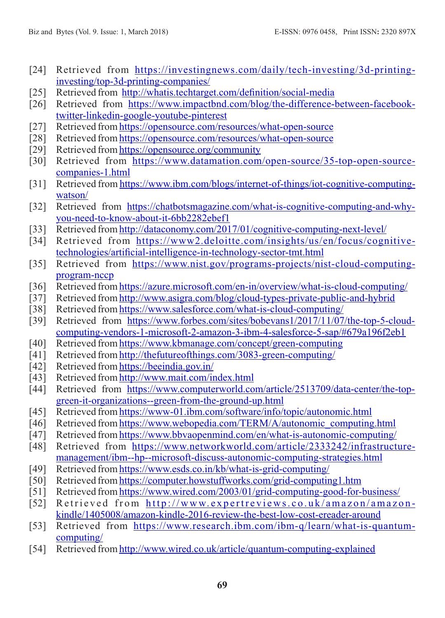- [24] Retrieved from [https://investingnews.com/daily/tech-investing/3d-printing](http://dsim.in/blog/2017/04/21/14-awesome-social-media-facts-statistics-2017/)[investing/top-3d-printing-companies/](http://dsim.in/blog/2017/04/21/14-awesome-social-media-facts-statistics-2017/)
- [25] Retrieved from [http://whatis.techtarget.com/definition/social-media](mailto:radhikasingla592@gmail.com)
- [26] Retrieved from [https://www.impactbnd.com/blog/the-difference-between-facebook](mailto:raskiratkaur@gmail.com)[twitter-linkedin-google-youtube-pinterest](mailto:raskiratkaur@gmail.com)
- [27] Retrieved from [https://opensource.com/resources/what-open-source](https://simple.wikipedia.org/wiki/Teaching)
- [28] Retrieved from [https://opensource.com/resources/what-open-source](https://simple.wikipedia.org/wiki/Teaching)
- [29] Retrieved from [https://opensource.org/community](https://simple.wikipedia.org/wiki/Skill)
- [30] Retrieved from [https://www.datamation.com/open-source/35-top-open-source](https://simple.wikipedia.org/wiki/Knowledge)[companies-1.html](https://simple.wikipedia.org/wiki/Knowledge)
- [31] Retrieved from [https://www.ibm.com/blogs/internet-of-things/iot-cognitive-computing](https://simple.wikipedia.org/wiki/Society)[watson/](https://simple.wikipedia.org/wiki/Society)
- [32] Retrieved from [https://chatbotsmagazine.com/what-is-cognitive-computing-and-why](https://simple.wikipedia.org/wiki/Country)[you-need-to-know-about-it-6bb2282ebef1](https://simple.wikipedia.org/wiki/Country)
- [33] Retrieved from [http://dataconomy.com/2017/01/cognitive-computing-next-level/](https://simple.wikipedia.org/wiki/World)
- [34] Retrieved from [https://www2.deloitte.com/insights/us/en/focus/cognitive](https://simple.wikipedia.org/wiki/Generation)[technologies/artificial-intelligence-in-technology-sector-tmt.html](https://simple.wikipedia.org/wiki/Generation)
- [35] Retrieved from [https://www.nist.gov/programs-projects/nist-cloud-computing](https://simple.wikipedia.org/wiki/Democracy)[program-nccp](https://simple.wikipedia.org/wiki/Democracy)
- [36] Retrieved from [https://azure.microsoft.com/en-in/overview/what-is-cloud-computing/](https://simple.wikipedia.org/wiki/Children)
- [37] Retrieved from [http://www.asigra.com/blog/cloud-types-private-public-and-hybrid](https://simple.wikipedia.org/wiki/Adult)
- [38] Retrieved from [https://www.salesforce.com/what-is-cloud-computing/](https://simple.wikipedia.org/wiki/Citizen)
- [39] Retrieved from [https://www.forbes.com/sites/bobevans1/2017/11/07/the-top-5-cloud](http://www.sciencedirect.com)[computing-vendors-1-microsoft-2-amazon-3-ibm-4-salesforce-5-sap/#679a196f2eb1](http://www.sciencedirect.com)
- [40] Retrieved from [https://www.kbmanage.com/concept/green-computing](http://www.emeraldinsight.com/keyword/Poka+Yoke)
- [41] Retrieved from [http://thefutureofthings.com/3083-green-computing/](http://www.emeraldinsight.com/keyword/Zero+Defects)
- [42] Retrieved from [https://beeindia.gov.in/](http://www.emeraldinsight.com/keyword/Quality+Control)
- [43] Retrieved from [http://www.mait.com/index.html](https://www.simplilearn.com/is-six-sigma-a-zero-defects-standard-article)
- [44] Retrieved from [https://www.computerworld.com/article/2513709/data-center/the-top](https://en.wikipedia.org/wiki/Zero_Defects)[green-it-organizations--green-from-the-ground-up.html](https://en.wikipedia.org/wiki/Zero_Defects)
- [45] Retrieved from [https://www-01.ibm.com/software/info/topic/autonomic.html](https://www.simplilearn.com/concept-of-zero-defects-quality-management-article)
- [46] Retrieved from [https://www.webopedia.com/TERM/A/autonomic\\_computing.html](http://www.referenceforbusiness.com/management/Or-Pr/Poka-Yoke.html)
- [47] Retrieved from [https://www.bbvaopenmind.com/en/what-is-autonomic-computing/](http://www.cartierwomensinitiative.com/docs/Ethiopian_women_entrepreneurs_ILO.pdf)
- [48] Retrieved from https://www.networkworld.com/article/2333242/infrastructuremanagement/ibm--hp--microsoft-discuss-autonomic-computing-strategies.html
- [49] Retrieved from https://www.esds.co.in/kb/what-is-grid-computing/
- [50] Retrieved from https://computer.howstuffworks.com/grid-computing1.htm
- [51] Retrieved from https://www.wired.com/2003/01/grid-computing-good-for-business/
- [52] Retrieved from http://www.expertreviews.co.uk/amazon/amazonkindle/1405008/amazon-kindle-2016-review-the-best-low-cost-ereader-around
- [53] Retrieved from https://www.research.ibm.com/ibm-q/learn/what-is-quantumcomputing/
- [54] Retrieved from http://www.wired.co.uk/article/quantum-computing-explained